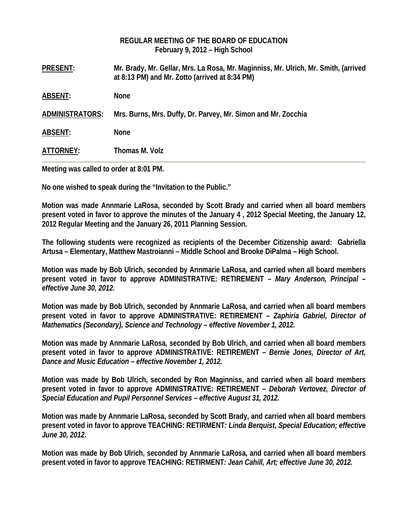|                        | REGULAR MEETING OF THE BOARD OF EDUCATION<br>February 9, 2012 - High School                                                           |
|------------------------|---------------------------------------------------------------------------------------------------------------------------------------|
| <b>PRESENT:</b>        | Mr. Brady, Mr. Gellar, Mrs. La Rosa, Mr. Maginniss, Mr. Ulrich, Mr. Smith, (arrived<br>at 8:13 PM) and Mr. Zotto (arrived at 8:34 PM) |
| <b>ABSENT:</b>         | <b>None</b>                                                                                                                           |
| <b>ADMINISTRATORS:</b> | Mrs. Burns, Mrs. Duffy, Dr. Parvey, Mr. Simon and Mr. Zocchia                                                                         |
| <b>ABSENT:</b>         | <b>None</b>                                                                                                                           |
| ATTORNEY:              | Thomas M. Volz                                                                                                                        |

**Meeting was called to order at 8:01 PM.** 

**No one wished to speak during the "Invitation to the Public."** 

**Motion was made Annmarie LaRosa, seconded by Scott Brady and carried when all board members present voted in favor to approve the minutes of the January 4 , 2012 Special Meeting, the January 12, 2012 Regular Meeting and the January 26, 2011 Planning Session.** 

**The following students were recognized as recipients of the December Citizenship award: Gabriella Artusa – Elementary, Matthew Mastroianni – Middle School and Brooke DiPalma – High School.**

**Motion was made by Bob Ulrich, seconded by Annmarie LaRosa, and carried when all board members present voted in favor to approve ADMINISTRATIVE: RETIREMENT –** *Mary Anderson, Principal – effective June 30, 2012.* 

**Motion was made by Bob Ulrich, seconded by Annmarie LaRosa, and carried when all board members present voted in favor to approve ADMINISTRATIVE: RETIREMENT –** *Zaphiria Gabriel, Director of Mathematics (Secondary), Science and Technology – effective November 1, 2012.* 

**Motion was made by Annmarie LaRosa, seconded by Bob Ulrich, and carried when all board members present voted in favor to approve ADMINISTRATIVE: RETIREMENT –** *Bernie Jones, Director of Art, Dance and Music Education – effective November 1, 2012.* 

**Motion was made by Bob Ulrich, seconded by Ron Maginniss, and carried when all board members present voted in favor to approve ADMINISTRATIVE: RETIREMENT –** *Deborah Vertovez, Director of Special Education and Pupil Personnel Services – effective August 31, 2012.* 

**Motion was made by Annmarie LaRosa, seconded by Scott Brady, and carried when all board members present voted in favor to approve TEACHING: RETIRMENT***: Linda Berquist, Special Education; effective June 30, 2012.*

**Motion was made by Bob Ulrich, seconded by Annmarie LaRosa, and carried when all board members present voted in favor to approve TEACHING: RETIRMENT***: Jean Cahill, Art; effective June 30, 2012.*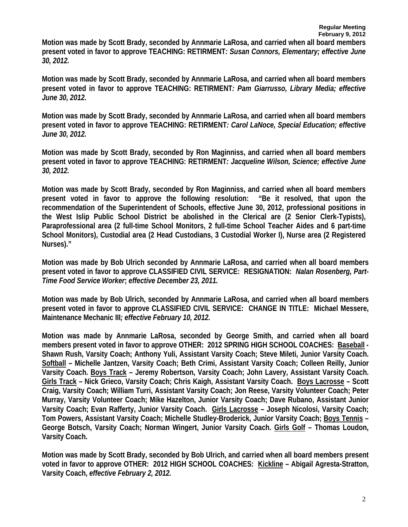**Motion was made by Scott Brady, seconded by Annmarie LaRosa, and carried when all board members present voted in favor to approve TEACHING: RETIRMENT***: Susan Connors, Elementary; effective June 30, 2012.* 

**Motion was made by Scott Brady, seconded by Annmarie LaRosa, and carried when all board members present voted in favor to approve TEACHING: RETIRMENT***: Pam Giarrusso, Library Media; effective June 30, 2012.* 

**Motion was made by Scott Brady, seconded by Annmarie LaRosa, and carried when all board members present voted in favor to approve TEACHING: RETIRMENT***: Carol LaNoce, Special Education; effective June 30, 2012.* 

**Motion was made by Scott Brady, seconded by Ron Maginniss, and carried when all board members present voted in favor to approve TEACHING: RETIRMENT***: Jacqueline Wilson, Science; effective June 30, 2012.*

**Motion was made by Scott Brady, seconded by Ron Maginniss, and carried when all board members present voted in favor to approve the following resolution: "Be it resolved, that upon the recommendation of the Superintendent of Schools, effective June 30, 2012, professional positions in the West Islip Public School District be abolished in the Clerical are (2 Senior Clerk-Typists), Paraprofessional area (2 full-time School Monitors, 2 full-time School Teacher Aides and 6 part-time School Monitors), Custodial area (2 Head Custodians, 3 Custodial Worker I), Nurse area (2 Registered Nurses)."** 

**Motion was made by Bob Ulrich seconded by Annmarie LaRosa, and carried when all board members present voted in favor to approve CLASSIFIED CIVIL SERVICE: RESIGNATION:** *Nalan Rosenberg, Part-Time Food Service Worker***;** *effective December 23, 2011.* 

**Motion was made by Bob Ulrich, seconded by Annmarie LaRosa, and carried when all board members present voted in favor to approve CLASSIFIED CIVIL SERVICE: CHANGE IN TITLE: Michael Messere, Maintenance Mechanic III***; effective February 10, 2012.* 

**Motion was made by Annmarie LaRosa, seconded by George Smith, and carried when all board members present voted in favor to approve OTHER: 2012 SPRING HIGH SCHOOL COACHES: Baseball - Shawn Rush, Varsity Coach; Anthony Yuli, Assistant Varsity Coach; Steve Mileti, Junior Varsity Coach. Softball – Michelle Jantzen, Varsity Coach; Beth Crimi, Assistant Varsity Coach; Colleen Reilly, Junior Varsity Coach. Boys Track – Jeremy Robertson, Varsity Coach; John Lavery, Assistant Varsity Coach. Girls Track – Nick Grieco, Varsity Coach; Chris Kaigh, Assistant Varsity Coach. Boys Lacrosse – Scott Craig, Varsity Coach; William Turri, Assistant Varsity Coach; Jon Reese, Varsity Volunteer Coach; Peter Murray, Varsity Volunteer Coach; Mike Hazelton, Junior Varsity Coach; Dave Rubano, Assistant Junior Varsity Coach; Evan Rafferty, Junior Varsity Coach. Girls Lacrosse – Joseph Nicolosi, Varsity Coach; Tom Powers, Assistant Varsity Coach; Michelle Studley-Broderick, Junior Varsity Coach; Boys Tennis – George Botsch, Varsity Coach; Norman Wingert, Junior Varsity Coach. Girls Golf – Thomas Loudon, Varsity Coach.** 

**Motion was made by Scott Brady, seconded by Bob Ulrich, and carried when all board members present voted in favor to approve OTHER: 2012 HIGH SCHOOL COACHES: Kickline – Abigail Agresta-Stratton, Varsity Coach,** *effective February 2, 2012.*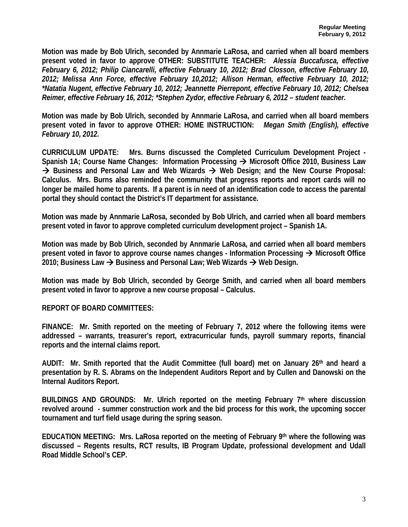**Motion was made by Bob Ulrich, seconded by Annmarie LaRosa, and carried when all board members present voted in favor to approve OTHER: SUBSTITUTE TEACHER:** *Alessia Buccafusca, effective February 6, 2012; Philip Ciancarelli, effective February 10, 2012; Brad Closson, effective February 10, 2012; Melissa Ann Force, effective February 10,2012; Allison Herman, effective February 10, 2012; \*Natatia Nugent, effective February 10, 2012; Jeannette Pierrepont, effective February 10, 2012; Chelsea Reimer, effective February 16, 2012; \*Stephen Zydor, effective February 6, 2012 – student teacher.* 

**Motion was made by Bob Ulrich, seconded by Annmarie LaRosa, and carried when all board members present voted in favor to approve OTHER: HOME INSTRUCTION:** *Megan Smith (English), effective February 10, 2012.* 

**CURRICULUM UPDATE: Mrs. Burns discussed the Completed Curriculum Development Project -** Spanish 1A; Course Name Changes: Information Processing → Microsoft Office 2010, Business Law → Business and Personal Law and Web Wizards → Web Design; and the New Course Proposal: **Calculus. Mrs. Burns also reminded the community that progress reports and report cards will no longer be mailed home to parents. If a parent is in need of an identification code to access the parental portal they should contact the District's IT department for assistance.** 

**Motion was made by Annmarie LaRosa, seconded by Bob Ulrich, and carried when all board members present voted in favor to approve completed curriculum development project – Spanish 1A.** 

**Motion was made by Bob Ulrich, seconded by Annmarie LaRosa, and carried when all board members present voted in favor to approve course names changes - Information Processing → Microsoft Office 2010; Business Law → Business and Personal Law; Web Wizards → Web Design.** 

**Motion was made by Bob Ulrich, seconded by George Smith, and carried when all board members present voted in favor to approve a new course proposal – Calculus.** 

**REPORT OF BOARD COMMITTEES:** 

**FINANCE: Mr. Smith reported on the meeting of February 7, 2012 where the following items were addressed – warrants, treasurer's report, extracurricular funds, payroll summary reports, financial reports and the internal claims report.** 

**AUDIT: Mr. Smith reported that the Audit Committee (full board) met on January 26th and heard a presentation by R. S. Abrams on the Independent Auditors Report and by Cullen and Danowski on the Internal Auditors Report.** 

**BUILDINGS AND GROUNDS: Mr. Ulrich reported on the meeting February 7th where discussion revolved around - summer construction work and the bid process for this work, the upcoming soccer tournament and turf field usage during the spring season.** 

**EDUCATION MEETING: Mrs. LaRosa reported on the meeting of February 9th where the following was discussed – Regents results, RCT results, IB Program Update, professional development and Udall Road Middle School's CEP.**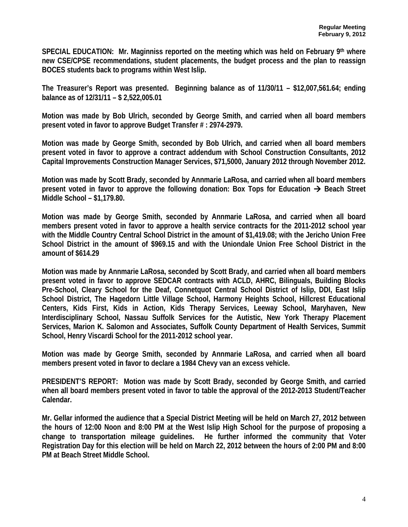**SPECIAL EDUCATION: Mr. Maginniss reported on the meeting which was held on February 9th where new CSE/CPSE recommendations, student placements, the budget process and the plan to reassign BOCES students back to programs within West Islip.** 

**The Treasurer's Report was presented. Beginning balance as of 11/30/11 – \$12,007,561.64; ending balance as of 12/31/11 – \$ 2,522,005.01** 

**Motion was made by Bob Ulrich, seconded by George Smith, and carried when all board members present voted in favor to approve Budget Transfer # : 2974-2979.** 

**Motion was made by George Smith, seconded by Bob Ulrich, and carried when all board members present voted in favor to approve a contract addendum with School Construction Consultants, 2012 Capital Improvements Construction Manager Services, \$71,5000, January 2012 through November 2012.** 

**Motion was made by Scott Brady, seconded by Annmarie LaRosa, and carried when all board members present voted in favor to approve the following donation: Box Tops for Education**  $\rightarrow$  **Beach Street Middle School – \$1,179.80.** 

**Motion was made by George Smith, seconded by Annmarie LaRosa, and carried when all board members present voted in favor to approve a health service contracts for the 2011-2012 school year with the Middle Country Central School District in the amount of \$1,419.08; with the Jericho Union Free School District in the amount of \$969.15 and with the Uniondale Union Free School District in the amount of \$614.29** 

**Motion was made by Annmarie LaRosa, seconded by Scott Brady, and carried when all board members present voted in favor to approve SEDCAR contracts with ACLD, AHRC, Bilinguals, Building Blocks Pre-School, Cleary School for the Deaf, Connetquot Central School District of Islip, DDI, East Islip School District, The Hagedorn Little Village School, Harmony Heights School, Hillcrest Educational Centers, Kids First, Kids in Action, Kids Therapy Services, Leeway School, Maryhaven, New Interdisciplinary School, Nassau Suffolk Services for the Autistic, New York Therapy Placement Services, Marion K. Salomon and Associates, Suffolk County Department of Health Services, Summit School, Henry Viscardi School for the 2011-2012 school year.** 

**Motion was made by George Smith, seconded by Annmarie LaRosa, and carried when all board members present voted in favor to declare a 1984 Chevy van an excess vehicle.** 

**PRESIDENT'S REPORT: Motion was made by Scott Brady, seconded by George Smith, and carried when all board members present voted in favor to table the approval of the 2012-2013 Student/Teacher Calendar.** 

**Mr. Gellar informed the audience that a Special District Meeting will be held on March 27, 2012 between the hours of 12:00 Noon and 8:00 PM at the West Islip High School for the purpose of proposing a change to transportation mileage guidelines. He further informed the community that Voter Registration Day for this election will be held on March 22, 2012 between the hours of 2:00 PM and 8:00 PM at Beach Street Middle School.**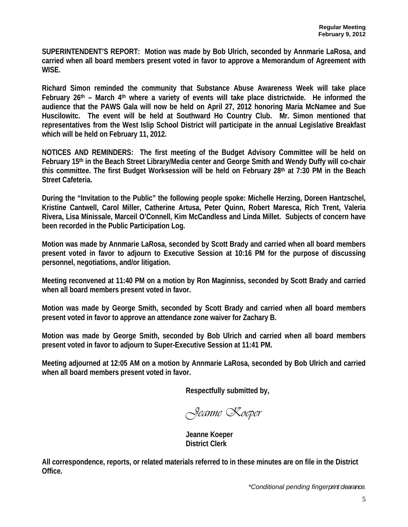**SUPERINTENDENT'S REPORT: Motion was made by Bob Ulrich, seconded by Annmarie LaRosa, and carried when all board members present voted in favor to approve a Memorandum of Agreement with WISE.** 

**Richard Simon reminded the community that Substance Abuse Awareness Week will take place February 26th – March 4th where a variety of events will take place districtwide. He informed the audience that the PAWS Gala will now be held on April 27, 2012 honoring Maria McNamee and Sue Huscilowitc. The event will be held at Southward Ho Country Club. Mr. Simon mentioned that representatives from the West Islip School District will participate in the annual Legislative Breakfast which will be held on February 11, 2012.** 

**NOTICES AND REMINDERS: The first meeting of the Budget Advisory Committee will be held on February 15th in the Beach Street Library/Media center and George Smith and Wendy Duffy will co-chair this committee. The first Budget Worksession will be held on February 28th at 7:30 PM in the Beach Street Cafeteria.** 

**During the "Invitation to the Public" the following people spoke: Michelle Herzing, Doreen Hantzschel, Kristine Cantwell, Carol Miller, Catherine Artusa, Peter Quinn, Robert Maresca, Rich Trent, Valeria Rivera, Lisa Minissale, Marceil O'Connell, Kim McCandless and Linda Millet. Subjects of concern have been recorded in the Public Participation Log.** 

**Motion was made by Annmarie LaRosa, seconded by Scott Brady and carried when all board members present voted in favor to adjourn to Executive Session at 10:16 PM for the purpose of discussing personnel, negotiations, and/or litigation.** 

**Meeting reconvened at 11:40 PM on a motion by Ron Maginniss, seconded by Scott Brady and carried when all board members present voted in favor.** 

**Motion was made by George Smith, seconded by Scott Brady and carried when all board members present voted in favor to approve an attendance zone waiver for Zachary B.** 

**Motion was made by George Smith, seconded by Bob Ulrich and carried when all board members present voted in favor to adjourn to Super-Executive Session at 11:41 PM.** 

**Meeting adjourned at 12:05 AM on a motion by Annmarie LaRosa, seconded by Bob Ulrich and carried when all board members present voted in favor.** 

**Respectfully submitted by,** 

*Jeanne Koeper* 

 **Jeanne Koeper District Clerk** 

**All correspondence, reports, or related materials referred to in these minutes are on file in the District Office.** 

*\*Conditional pending fingerprint clearance.*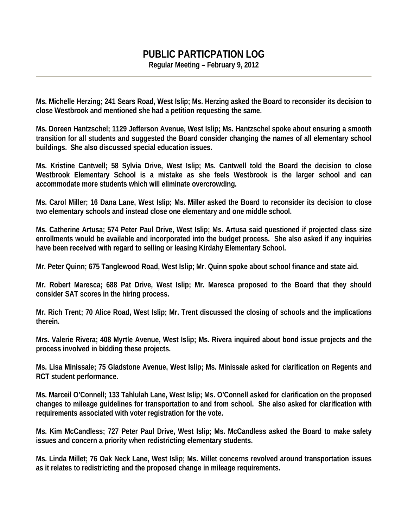# **PUBLIC PARTICPATION LOG**

**Regular Meeting – February 9, 2012** 

**Ms. Michelle Herzing; 241 Sears Road, West Islip; Ms. Herzing asked the Board to reconsider its decision to close Westbrook and mentioned she had a petition requesting the same.** 

**Ms. Doreen Hantzschel; 1129 Jefferson Avenue, West Islip; Ms. Hantzschel spoke about ensuring a smooth transition for all students and suggested the Board consider changing the names of all elementary school buildings. She also discussed special education issues.** 

**Ms. Kristine Cantwell; 58 Sylvia Drive, West Islip; Ms. Cantwell told the Board the decision to close Westbrook Elementary School is a mistake as she feels Westbrook is the larger school and can accommodate more students which will eliminate overcrowding.** 

**Ms. Carol Miller; 16 Dana Lane, West Islip; Ms. Miller asked the Board to reconsider its decision to close two elementary schools and instead close one elementary and one middle school.** 

**Ms. Catherine Artusa; 574 Peter Paul Drive, West Islip; Ms. Artusa said questioned if projected class size enrollments would be available and incorporated into the budget process. She also asked if any inquiries have been received with regard to selling or leasing Kirdahy Elementary School.** 

**Mr. Peter Quinn; 675 Tanglewood Road, West Islip; Mr. Quinn spoke about school finance and state aid.** 

**Mr. Robert Maresca; 688 Pat Drive, West Islip; Mr. Maresca proposed to the Board that they should consider SAT scores in the hiring process.** 

**Mr. Rich Trent; 70 Alice Road, West Islip; Mr. Trent discussed the closing of schools and the implications therein.** 

**Mrs. Valerie Rivera; 408 Myrtle Avenue, West Islip; Ms. Rivera inquired about bond issue projects and the process involved in bidding these projects.** 

**Ms. Lisa Minissale; 75 Gladstone Avenue, West Islip; Ms. Minissale asked for clarification on Regents and RCT student performance.** 

**Ms. Marceil O'Connell; 133 Tahlulah Lane, West Islip; Ms. O'Connell asked for clarification on the proposed changes to mileage guidelines for transportation to and from school. She also asked for clarification with requirements associated with voter registration for the vote.** 

**Ms. Kim McCandless; 727 Peter Paul Drive, West Islip; Ms. McCandless asked the Board to make safety issues and concern a priority when redistricting elementary students.** 

**Ms. Linda Millet; 76 Oak Neck Lane, West Islip; Ms. Millet concerns revolved around transportation issues as it relates to redistricting and the proposed change in mileage requirements.**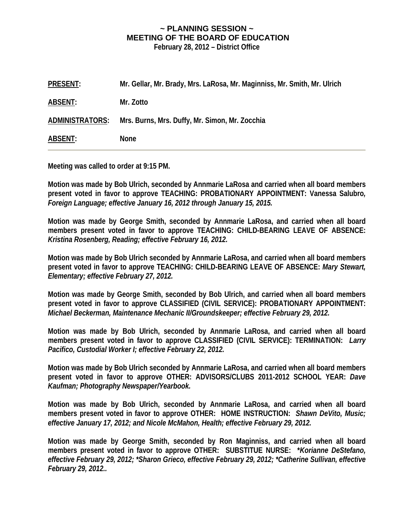# **~ PLANNING SESSION ~ MEETING OF THE BOARD OF EDUCATION**

**February 28, 2012 – District Office** 

| <b>PRESENT:</b> | Mr. Gellar, Mr. Brady, Mrs. LaRosa, Mr. Maginniss, Mr. Smith, Mr. Ulrich |
|-----------------|--------------------------------------------------------------------------|
| ABSENT:         | Mr. Zotto                                                                |
| ADMINISTRATORS: | Mrs. Burns, Mrs. Duffy, Mr. Simon, Mr. Zocchia                           |
| ABSENT:         | <b>None</b>                                                              |

**Meeting was called to order at 9:15 PM.** 

**Motion was made by Bob Ulrich, seconded by Annmarie LaRosa and carried when all board members present voted in favor to approve TEACHING: PROBATIONARY APPOINTMENT: Vanessa Salubro***, Foreign Language; effective January 16, 2012 through January 15, 2015.* 

**Motion was made by George Smith, seconded by Annmarie LaRosa, and carried when all board members present voted in favor to approve TEACHING: CHILD-BEARING LEAVE OF ABSENCE:**  *Kristina Rosenberg, Reading; effective February 16, 2012.* 

**Motion was made by Bob Ulrich seconded by Annmarie LaRosa, and carried when all board members present voted in favor to approve TEACHING: CHILD-BEARING LEAVE OF ABSENCE:** *Mary Stewart, Elementary; effective February 27, 2012.* 

**Motion was made by George Smith, seconded by Bob Ulrich, and carried when all board members present voted in favor to approve CLASSIFIED (CIVIL SERVICE): PROBATIONARY APPOINTMENT:**  *Michael Beckerman, Maintenance Mechanic II/Groundskeeper; effective February 29, 2012.* 

**Motion was made by Bob Ulrich, seconded by Annmarie LaRosa, and carried when all board members present voted in favor to approve CLASSIFIED (CIVIL SERVICE): TERMINATION:** *Larry Pacifico, Custodial Worker I; effective February 22, 2012.* 

**Motion was made by Bob Ulrich seconded by Annmarie LaRosa, and carried when all board members present voted in favor to approve OTHER: ADVISORS/CLUBS 2011-2012 SCHOOL YEAR:** *Dave Kaufman; Photography Newspaper/Yearbook.* 

**Motion was made by Bob Ulrich, seconded by Annmarie LaRosa, and carried when all board members present voted in favor to approve OTHER: HOME INSTRUCTION:** *Shawn DeVito, Music; effective January 17, 2012; and Nicole McMahon, Health; effective February 29, 2012.* 

**Motion was made by George Smith, seconded by Ron Maginniss, and carried when all board members present voted in favor to approve OTHER: SUBSTITUE NURSE: \****Korianne DeStefano, effective February 29, 2012; \*Sharon Grieco, effective February 29, 2012; \*Catherine Sullivan, effective February 29, 2012..*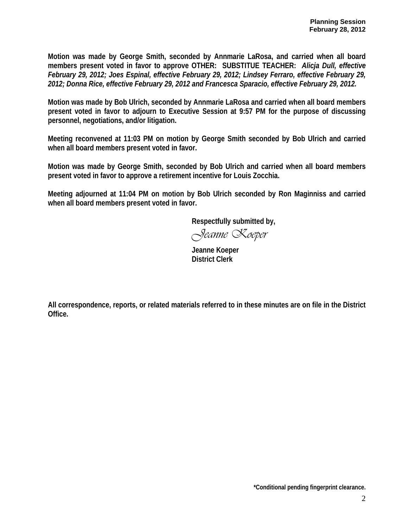**Motion was made by George Smith, seconded by Annmarie LaRosa, and carried when all board members present voted in favor to approve OTHER: SUBSTITUE TEACHER:** *Alicja Dull, effective February 29, 2012; Joes Espinal, effective February 29, 2012; Lindsey Ferraro, effective February 29, 2012; Donna Rice, effective February 29, 2012 and Francesca Sparacio, effective February 29, 2012.* 

**Motion was made by Bob Ulrich, seconded by Annmarie LaRosa and carried when all board members present voted in favor to adjourn to Executive Session at 9:57 PM for the purpose of discussing personnel, negotiations, and/or litigation.** 

**Meeting reconvened at 11:03 PM on motion by George Smith seconded by Bob Ulrich and carried when all board members present voted in favor.** 

**Motion was made by George Smith, seconded by Bob Ulrich and carried when all board members present voted in favor to approve a retirement incentive for Louis Zocchia.** 

**Meeting adjourned at 11:04 PM on motion by Bob Ulrich seconded by Ron Maginniss and carried when all board members present voted in favor.** 

 **Respectfully submitted by,** 

*Jeanne Koeper* 

 **Jeanne Koeper District Clerk** 

**All correspondence, reports, or related materials referred to in these minutes are on file in the District Office.**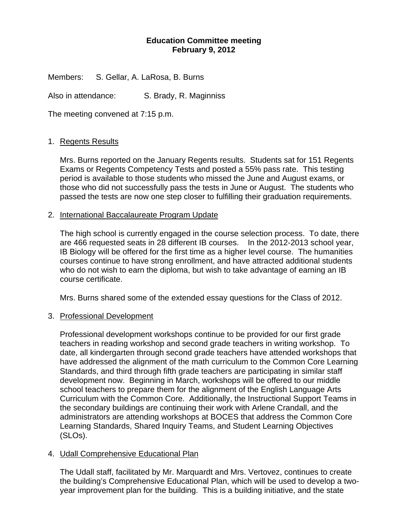### **Education Committee meeting February 9, 2012**

Members: S. Gellar, A. LaRosa, B. Burns

Also in attendance: S. Brady, R. Maginniss

The meeting convened at 7:15 p.m.

#### 1. Regents Results

Mrs. Burns reported on the January Regents results. Students sat for 151 Regents Exams or Regents Competency Tests and posted a 55% pass rate. This testing period is available to those students who missed the June and August exams, or those who did not successfully pass the tests in June or August. The students who passed the tests are now one step closer to fulfilling their graduation requirements.

#### 2. International Baccalaureate Program Update

The high school is currently engaged in the course selection process. To date, there are 466 requested seats in 28 different IB courses. In the 2012-2013 school year, IB Biology will be offered for the first time as a higher level course. The humanities courses continue to have strong enrollment, and have attracted additional students who do not wish to earn the diploma, but wish to take advantage of earning an IB course certificate.

Mrs. Burns shared some of the extended essay questions for the Class of 2012.

#### 3. Professional Development

Professional development workshops continue to be provided for our first grade teachers in reading workshop and second grade teachers in writing workshop. To date, all kindergarten through second grade teachers have attended workshops that have addressed the alignment of the math curriculum to the Common Core Learning Standards, and third through fifth grade teachers are participating in similar staff development now. Beginning in March, workshops will be offered to our middle school teachers to prepare them for the alignment of the English Language Arts Curriculum with the Common Core. Additionally, the Instructional Support Teams in the secondary buildings are continuing their work with Arlene Crandall, and the administrators are attending workshops at BOCES that address the Common Core Learning Standards, Shared Inquiry Teams, and Student Learning Objectives (SLOs).

## 4. Udall Comprehensive Educational Plan

The Udall staff, facilitated by Mr. Marquardt and Mrs. Vertovez, continues to create the building's Comprehensive Educational Plan, which will be used to develop a twoyear improvement plan for the building. This is a building initiative, and the state